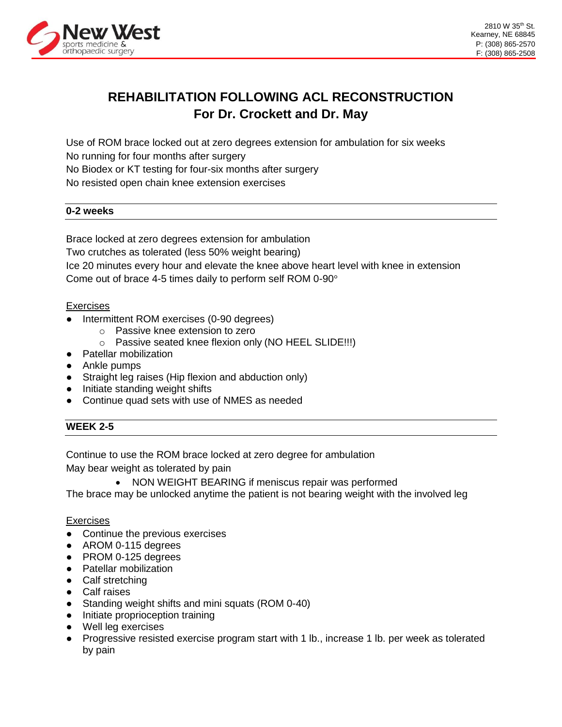

## **REHABILITATION FOLLOWING ACL RECONSTRUCTION For Dr. Crockett and Dr. May**

Use of ROM brace locked out at zero degrees extension for ambulation for six weeks No running for four months after surgery No Biodex or KT testing for four-six months after surgery No resisted open chain knee extension exercises

#### **0-2 weeks**

Brace locked at zero degrees extension for ambulation Two crutches as tolerated (less 50% weight bearing) Ice 20 minutes every hour and elevate the knee above heart level with knee in extension Come out of brace 4-5 times daily to perform self ROM 0-90°

#### **Exercises**

- Intermittent ROM exercises (0-90 degrees)
	- o Passive knee extension to zero
		- o Passive seated knee flexion only (NO HEEL SLIDE!!!)
- Patellar mobilization
- Ankle pumps
- Straight leg raises (Hip flexion and abduction only)
- Initiate standing weight shifts
- Continue quad sets with use of NMES as needed

#### **WEEK 2-5**

Continue to use the ROM brace locked at zero degree for ambulation May bear weight as tolerated by pain

• NON WEIGHT BEARING if meniscus repair was performed

The brace may be unlocked anytime the patient is not bearing weight with the involved leg

#### **Exercises**

- Continue the previous exercises
- AROM 0-115 degrees
- PROM 0-125 degrees
- Patellar mobilization
- Calf stretching
- Calf raises
- Standing weight shifts and mini squats (ROM 0-40)
- Initiate proprioception training
- Well leg exercises
- Progressive resisted exercise program start with 1 lb., increase 1 lb. per week as tolerated by pain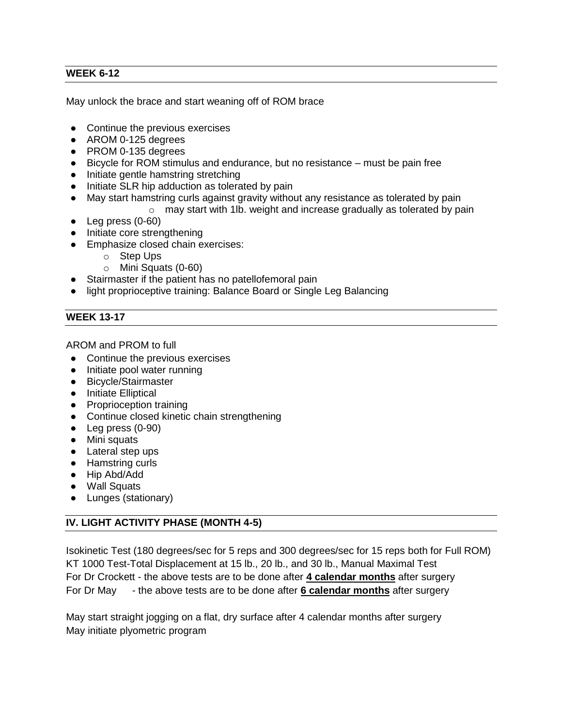#### **WEEK 6-12**

May unlock the brace and start weaning off of ROM brace

- Continue the previous exercises
- AROM 0-125 degrees
- PROM 0-135 degrees
- Bicycle for ROM stimulus and endurance, but no resistance must be pain free
- Initiate gentle hamstring stretching
- Initiate SLR hip adduction as tolerated by pain
- May start hamstring curls against gravity without any resistance as tolerated by pain
	- o may start with 1lb. weight and increase gradually as tolerated by pain
- Leg press (0-60)
- Initiate core strengthening
- Emphasize closed chain exercises:
	- o Step Ups
	- o Mini Squats (0-60)
- Stairmaster if the patient has no patellofemoral pain
- light proprioceptive training: Balance Board or Single Leg Balancing

### **WEEK 13-17**

AROM and PROM to full

- Continue the previous exercises
- Initiate pool water running
- Bicycle/Stairmaster
- Initiate Elliptical
- Proprioception training
- Continue closed kinetic chain strengthening
- Leg press (0-90)
- Mini squats
- Lateral step ups
- Hamstring curls
- Hip Abd/Add
- Wall Squats
- Lunges (stationary)

### **IV. LIGHT ACTIVITY PHASE (MONTH 4-5)**

Isokinetic Test (180 degrees/sec for 5 reps and 300 degrees/sec for 15 reps both for Full ROM) KT 1000 Test-Total Displacement at 15 lb., 20 lb., and 30 lb., Manual Maximal Test For Dr Crockett - the above tests are to be done after **4 calendar months** after surgery For Dr May - the above tests are to be done after **6 calendar months** after surgery

May start straight jogging on a flat, dry surface after 4 calendar months after surgery May initiate plyometric program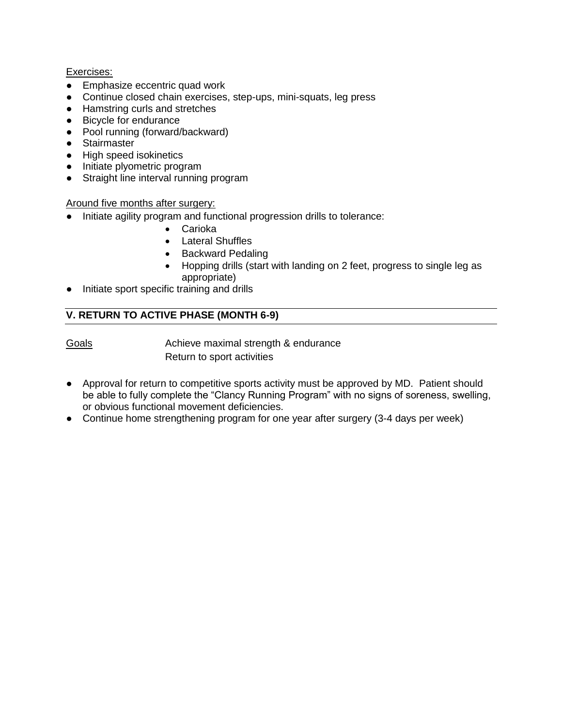#### Exercises:

- Emphasize eccentric quad work
- Continue closed chain exercises, step-ups, mini-squats, leg press
- Hamstring curls and stretches
- Bicycle for endurance
- Pool running (forward/backward)
- Stairmaster
- High speed isokinetics
- Initiate plyometric program
- Straight line interval running program

#### Around five months after surgery:

- Initiate agility program and functional progression drills to tolerance:
	- Carioka
	- Lateral Shuffles
	- Backward Pedaling
	- Hopping drills (start with landing on 2 feet, progress to single leg as appropriate)
- Initiate sport specific training and drills

### **V. RETURN TO ACTIVE PHASE (MONTH 6-9)**

Goals **Achieve maximal strength & endurance** Return to sport activities

- Approval for return to competitive sports activity must be approved by MD. Patient should be able to fully complete the "Clancy Running Program" with no signs of soreness, swelling, or obvious functional movement deficiencies.
- Continue home strengthening program for one year after surgery (3-4 days per week)